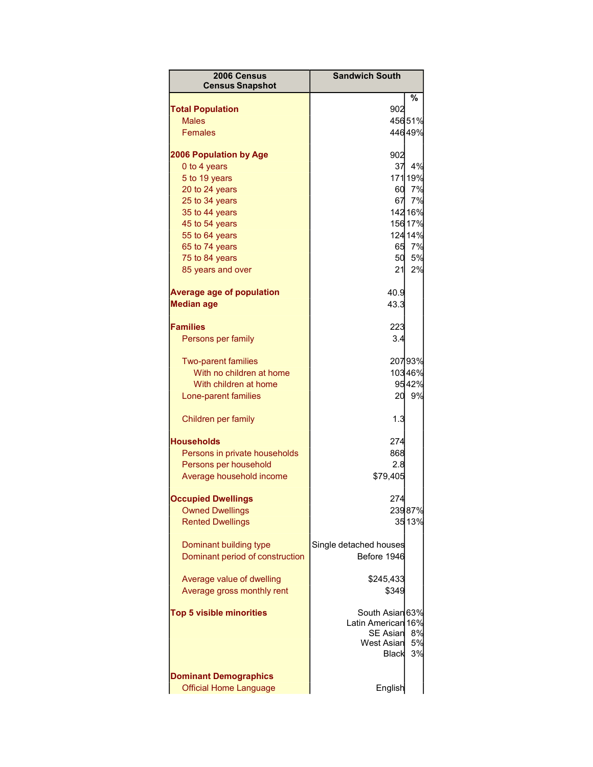| 2006 Census<br><b>Census Snapshot</b>                         | <b>Sandwich South</b>                                                                         |                |
|---------------------------------------------------------------|-----------------------------------------------------------------------------------------------|----------------|
|                                                               |                                                                                               | $\frac{1}{2}$  |
| <b>Total Population</b>                                       | 902                                                                                           |                |
| <b>Males</b>                                                  |                                                                                               | 45651%         |
| <b>Females</b>                                                |                                                                                               | 44649%         |
| <b>2006 Population by Age</b>                                 | 902                                                                                           |                |
| 0 to 4 years                                                  | 37                                                                                            | 4%             |
| 5 to 19 years                                                 |                                                                                               | 171 19%        |
| 20 to 24 years                                                | 60                                                                                            | 7%             |
| 25 to 34 years                                                | 67                                                                                            | 7%             |
| 35 to 44 years                                                |                                                                                               | 142 16%        |
| 45 to 54 years                                                |                                                                                               | 156 17%        |
| 55 to 64 years                                                |                                                                                               | 124 14%        |
| 65 to 74 years                                                | 65                                                                                            | 7%             |
| 75 to 84 years                                                | 50                                                                                            | 5%             |
| 85 years and over                                             | 21                                                                                            | 2%             |
| <b>Average age of population</b>                              | 40.9                                                                                          |                |
| <b>Median age</b>                                             | 43.3                                                                                          |                |
| <b>Families</b>                                               | 223                                                                                           |                |
| Persons per family                                            | 3.4                                                                                           |                |
| <b>Two-parent families</b>                                    |                                                                                               | 20793%         |
| With no children at home                                      |                                                                                               | 10346%         |
| With children at home                                         |                                                                                               | 9542%          |
| Lone-parent families                                          | 20                                                                                            | 9%             |
| Children per family                                           | 1.3                                                                                           |                |
| <b>Households</b>                                             | 274                                                                                           |                |
| Persons in private households                                 | 868                                                                                           |                |
| Persons per household                                         | 2.8                                                                                           |                |
| Average household income                                      | \$79,405                                                                                      |                |
|                                                               |                                                                                               |                |
| <b>Occupied Dwellings</b>                                     | 274                                                                                           |                |
| <b>Owned Dwellings</b>                                        |                                                                                               | 23987%         |
| <b>Rented Dwellings</b>                                       |                                                                                               | 35 13%         |
| Dominant building type                                        | Single detached houses                                                                        |                |
| Dominant period of construction                               | Before 1946                                                                                   |                |
| Average value of dwelling                                     | \$245,433                                                                                     |                |
| Average gross monthly rent                                    | \$349                                                                                         |                |
| <b>Top 5 visible minorities</b>                               | South Asian 63%<br>Latin American 16%<br><b>SE Asian</b><br><b>West Asian</b><br><b>Black</b> | 8%<br>5%<br>3% |
| <b>Dominant Demographics</b><br><b>Official Home Language</b> | English                                                                                       |                |